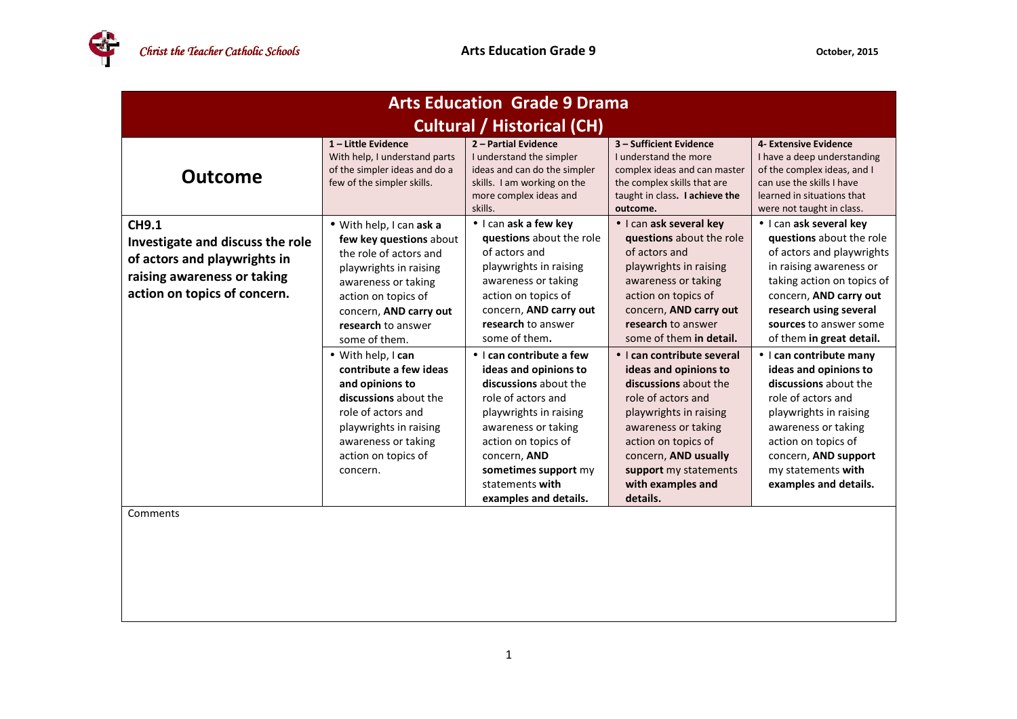| <b>Arts Education Grade 9 Drama</b>                                                                                                             |                                                                                                                                                                                                                                                                                                                                                                                                                              |                                                                                                                                                                                                                                                                                                                                                                                                                                                                             |                                                                                                                                                                                                                                                                                                                                                                                                                                                                                         |                                                                                                                                                                                                                                                                                                                                                                                                                                                                                                       |  |
|-------------------------------------------------------------------------------------------------------------------------------------------------|------------------------------------------------------------------------------------------------------------------------------------------------------------------------------------------------------------------------------------------------------------------------------------------------------------------------------------------------------------------------------------------------------------------------------|-----------------------------------------------------------------------------------------------------------------------------------------------------------------------------------------------------------------------------------------------------------------------------------------------------------------------------------------------------------------------------------------------------------------------------------------------------------------------------|-----------------------------------------------------------------------------------------------------------------------------------------------------------------------------------------------------------------------------------------------------------------------------------------------------------------------------------------------------------------------------------------------------------------------------------------------------------------------------------------|-------------------------------------------------------------------------------------------------------------------------------------------------------------------------------------------------------------------------------------------------------------------------------------------------------------------------------------------------------------------------------------------------------------------------------------------------------------------------------------------------------|--|
| <b>Cultural / Historical (CH)</b>                                                                                                               |                                                                                                                                                                                                                                                                                                                                                                                                                              |                                                                                                                                                                                                                                                                                                                                                                                                                                                                             |                                                                                                                                                                                                                                                                                                                                                                                                                                                                                         |                                                                                                                                                                                                                                                                                                                                                                                                                                                                                                       |  |
| <b>Outcome</b>                                                                                                                                  | $1$ – Little Evidence<br>With help, I understand parts<br>of the simpler ideas and do a<br>few of the simpler skills.                                                                                                                                                                                                                                                                                                        | 2 - Partial Evidence<br>I understand the simpler<br>ideas and can do the simpler<br>skills. I am working on the<br>more complex ideas and<br>skills.                                                                                                                                                                                                                                                                                                                        | 3 - Sufficient Evidence<br>I understand the more<br>complex ideas and can master<br>the complex skills that are<br>taught in class. I achieve the<br>outcome.                                                                                                                                                                                                                                                                                                                           | 4- Extensive Evidence<br>I have a deep understanding<br>of the complex ideas, and I<br>can use the skills I have<br>learned in situations that<br>were not taught in class.                                                                                                                                                                                                                                                                                                                           |  |
| <b>CH9.1</b><br>Investigate and discuss the role<br>of actors and playwrights in<br>raising awareness or taking<br>action on topics of concern. | · With help, I can ask a<br>few key questions about<br>the role of actors and<br>playwrights in raising<br>awareness or taking<br>action on topics of<br>concern, AND carry out<br>research to answer<br>some of them.<br>• With help, I can<br>contribute a few ideas<br>and opinions to<br>discussions about the<br>role of actors and<br>playwrights in raising<br>awareness or taking<br>action on topics of<br>concern. | · I can ask a few key<br>questions about the role<br>of actors and<br>playwrights in raising<br>awareness or taking<br>action on topics of<br>concern, AND carry out<br>research to answer<br>some of them.<br>• I can contribute a few<br>ideas and opinions to<br>discussions about the<br>role of actors and<br>playwrights in raising<br>awareness or taking<br>action on topics of<br>concern, AND<br>sometimes support my<br>statements with<br>examples and details. | · I can ask several key<br>questions about the role<br>of actors and<br>playwrights in raising<br>awareness or taking<br>action on topics of<br>concern, AND carry out<br>research to answer<br>some of them in detail.<br>• I can contribute several<br>ideas and opinions to<br>discussions about the<br>role of actors and<br>playwrights in raising<br>awareness or taking<br>action on topics of<br>concern, AND usually<br>support my statements<br>with examples and<br>details. | • I can ask several key<br>questions about the role<br>of actors and playwrights<br>in raising awareness or<br>taking action on topics of<br>concern, AND carry out<br>research using several<br>sources to answer some<br>of them in great detail.<br>• I can contribute many<br>ideas and opinions to<br>discussions about the<br>role of actors and<br>playwrights in raising<br>awareness or taking<br>action on topics of<br>concern, AND support<br>my statements with<br>examples and details. |  |
| Comments                                                                                                                                        |                                                                                                                                                                                                                                                                                                                                                                                                                              |                                                                                                                                                                                                                                                                                                                                                                                                                                                                             |                                                                                                                                                                                                                                                                                                                                                                                                                                                                                         |                                                                                                                                                                                                                                                                                                                                                                                                                                                                                                       |  |
|                                                                                                                                                 |                                                                                                                                                                                                                                                                                                                                                                                                                              |                                                                                                                                                                                                                                                                                                                                                                                                                                                                             |                                                                                                                                                                                                                                                                                                                                                                                                                                                                                         |                                                                                                                                                                                                                                                                                                                                                                                                                                                                                                       |  |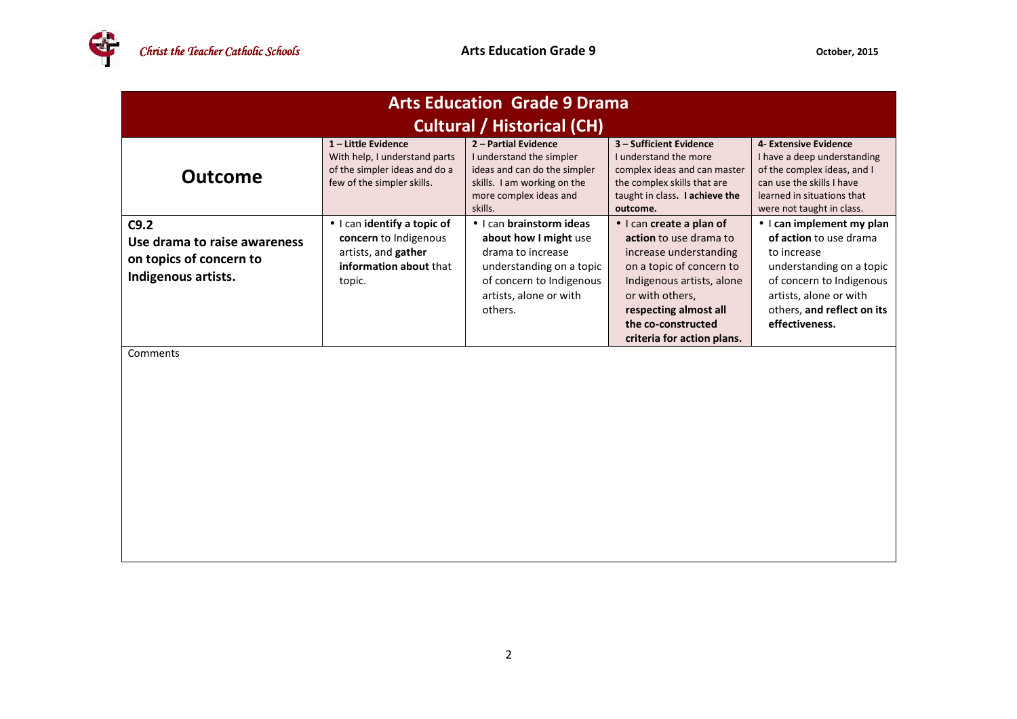

| <b>Arts Education Grade 9 Drama</b>                                                    |                                                                                                                   |                                                                                                                                                                     |                                                                                                                                                                                                                                       |                                                                                                                                                                                                              |  |
|----------------------------------------------------------------------------------------|-------------------------------------------------------------------------------------------------------------------|---------------------------------------------------------------------------------------------------------------------------------------------------------------------|---------------------------------------------------------------------------------------------------------------------------------------------------------------------------------------------------------------------------------------|--------------------------------------------------------------------------------------------------------------------------------------------------------------------------------------------------------------|--|
| <b>Cultural / Historical (CH)</b>                                                      |                                                                                                                   |                                                                                                                                                                     |                                                                                                                                                                                                                                       |                                                                                                                                                                                                              |  |
| <b>Outcome</b>                                                                         | 1-Little Evidence<br>With help, I understand parts<br>of the simpler ideas and do a<br>few of the simpler skills. | 2 - Partial Evidence<br>I understand the simpler<br>ideas and can do the simpler<br>skills. I am working on the<br>more complex ideas and<br>skills.                | 3 - Sufficient Evidence<br>I understand the more<br>complex ideas and can master<br>the complex skills that are<br>taught in class. I achieve the<br>outcome.                                                                         | 4- Extensive Evidence<br>I have a deep understanding<br>of the complex ideas, and I<br>can use the skills I have<br>learned in situations that<br>were not taught in class.                                  |  |
| C9.2<br>Use drama to raise awareness<br>on topics of concern to<br>Indigenous artists. | · I can identify a topic of<br>concern to Indigenous<br>artists, and gather<br>information about that<br>topic.   | • I can brainstorm ideas<br>about how I might use<br>drama to increase<br>understanding on a topic<br>of concern to Indigenous<br>artists, alone or with<br>others. | · I can create a plan of<br>action to use drama to<br>increase understanding<br>on a topic of concern to<br>Indigenous artists, alone<br>or with others,<br>respecting almost all<br>the co-constructed<br>criteria for action plans. | $\bullet$ I can implement my plan<br>of action to use drama<br>to increase<br>understanding on a topic<br>of concern to Indigenous<br>artists, alone or with<br>others, and reflect on its<br>effectiveness. |  |
| Comments                                                                               |                                                                                                                   |                                                                                                                                                                     |                                                                                                                                                                                                                                       |                                                                                                                                                                                                              |  |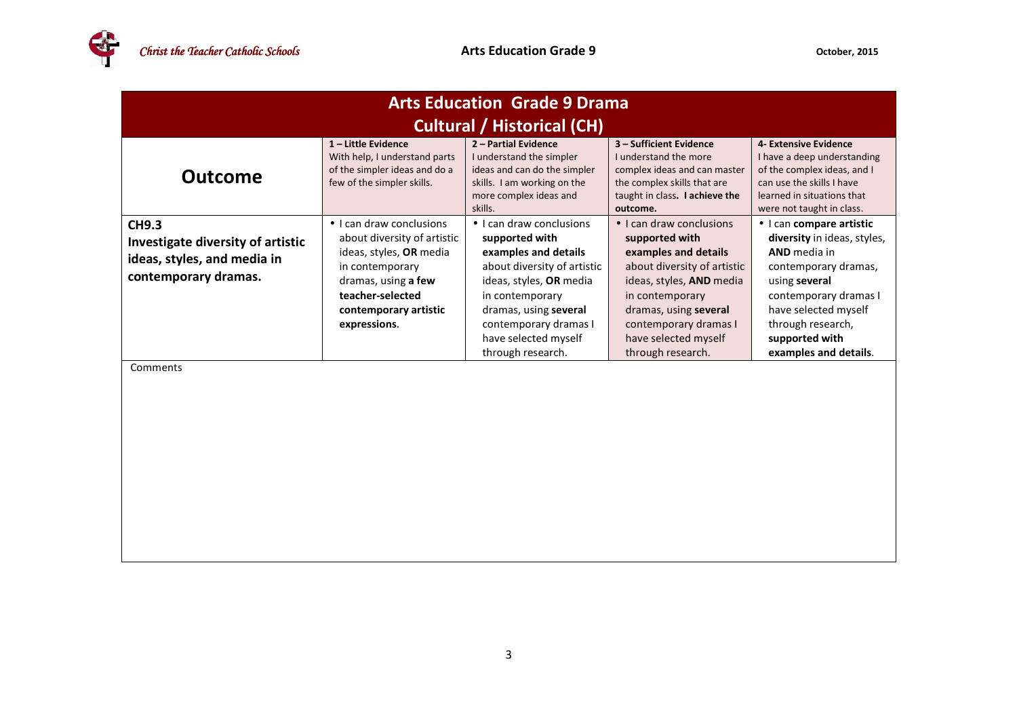| <b>Arts Education Grade 9 Drama</b>                                                                      |                                                                                                                                                                                           |                                                                                                                                                                                                                                                |                                                                                                                                                                                                                                                 |                                                                                                                                                                                                                                          |  |
|----------------------------------------------------------------------------------------------------------|-------------------------------------------------------------------------------------------------------------------------------------------------------------------------------------------|------------------------------------------------------------------------------------------------------------------------------------------------------------------------------------------------------------------------------------------------|-------------------------------------------------------------------------------------------------------------------------------------------------------------------------------------------------------------------------------------------------|------------------------------------------------------------------------------------------------------------------------------------------------------------------------------------------------------------------------------------------|--|
| <b>Cultural / Historical (CH)</b>                                                                        |                                                                                                                                                                                           |                                                                                                                                                                                                                                                |                                                                                                                                                                                                                                                 |                                                                                                                                                                                                                                          |  |
| <b>Outcome</b>                                                                                           | 1-Little Evidence<br>With help, I understand parts<br>of the simpler ideas and do a<br>few of the simpler skills.                                                                         | 2 - Partial Evidence<br>I understand the simpler<br>ideas and can do the simpler<br>skills. I am working on the<br>more complex ideas and<br>skills.                                                                                           | 3 - Sufficient Evidence<br>I understand the more<br>complex ideas and can master<br>the complex skills that are<br>taught in class. I achieve the<br>outcome.                                                                                   | 4- Extensive Evidence<br>I have a deep understanding<br>of the complex ideas, and I<br>can use the skills I have<br>learned in situations that<br>were not taught in class.                                                              |  |
| <b>CH9.3</b><br>Investigate diversity of artistic<br>ideas, styles, and media in<br>contemporary dramas. | • I can draw conclusions<br>about diversity of artistic<br>ideas, styles, OR media<br>in contemporary<br>dramas, using a few<br>teacher-selected<br>contemporary artistic<br>expressions. | • I can draw conclusions<br>supported with<br>examples and details<br>about diversity of artistic<br>ideas, styles, OR media<br>in contemporary<br>dramas, using several<br>contemporary dramas I<br>have selected myself<br>through research. | • I can draw conclusions<br>supported with<br>examples and details<br>about diversity of artistic<br>ideas, styles, AND media<br>in contemporary<br>dramas, using several<br>contemporary dramas I<br>have selected myself<br>through research. | · I can compare artistic<br>diversity in ideas, styles,<br><b>AND</b> media in<br>contemporary dramas,<br>using several<br>contemporary dramas I<br>have selected myself<br>through research,<br>supported with<br>examples and details. |  |
| Comments                                                                                                 |                                                                                                                                                                                           |                                                                                                                                                                                                                                                |                                                                                                                                                                                                                                                 |                                                                                                                                                                                                                                          |  |